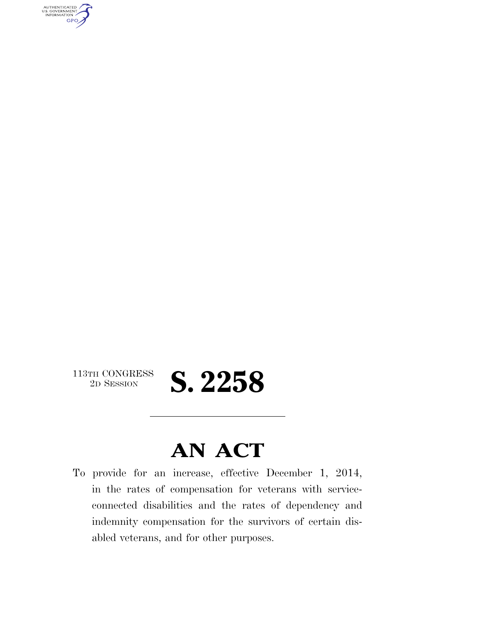AUTHENTICATED<br>U.S. GOVERNMENT<br>INFORMATION GPO

113TH CONGRESS<br>2D SESSION

## 2D SESSION **S. 2258**

## **AN ACT**

To provide for an increase, effective December 1, 2014, in the rates of compensation for veterans with serviceconnected disabilities and the rates of dependency and indemnity compensation for the survivors of certain disabled veterans, and for other purposes.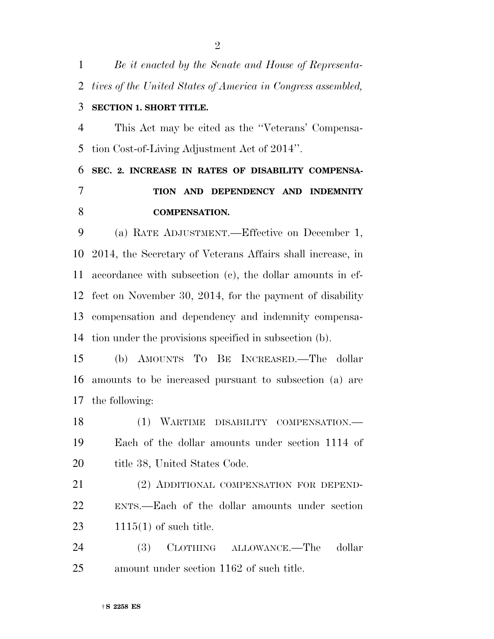| $\mathbf{1}$   | Be it enacted by the Senate and House of Representa-         |
|----------------|--------------------------------------------------------------|
| 2              | tives of the United States of America in Congress assembled, |
| 3              | <b>SECTION 1. SHORT TITLE.</b>                               |
| $\overline{4}$ | This Act may be cited as the "Veterans' Compensa-            |
| 5              | tion Cost-of-Living Adjustment Act of 2014".                 |
| 6              | SEC. 2. INCREASE IN RATES OF DISABILITY COMPENSA-            |
| 7              | TION AND DEPENDENCY AND INDEMNITY                            |
| 8              | <b>COMPENSATION.</b>                                         |
| 9              | (a) RATE ADJUSTMENT.—Effective on December 1,                |
| 10             | 2014, the Secretary of Veterans Affairs shall increase, in   |
| 11             | accordance with subsection (c), the dollar amounts in ef-    |
| 12             | fect on November 30, 2014, for the payment of disability     |
| 13             | compensation and dependency and indemnity compensa-          |
| 14             | tion under the provisions specified in subsection (b).       |
| 15             | AMOUNTS TO BE INCREASED. The dollar<br>(b)                   |
| 16             | amounts to be increased pursuant to subsection (a) are       |
| 17             | the following:                                               |
| 18             | (1) WARTIME DISABILITY COMPENSATION.-                        |
| 19             | Each of the dollar amounts under section 1114 of             |
| 20             | title 38, United States Code.                                |
| 21             | (2) ADDITIONAL COMPENSATION FOR DEPEND-                      |
| 22             | ENTS.—Each of the dollar amounts under section               |
| 23             | $1115(1)$ of such title.                                     |
| 24             | CLOTHING ALLOWANCE.—The<br><b>(3)</b><br>dollar              |
| 25             | amount under section 1162 of such title.                     |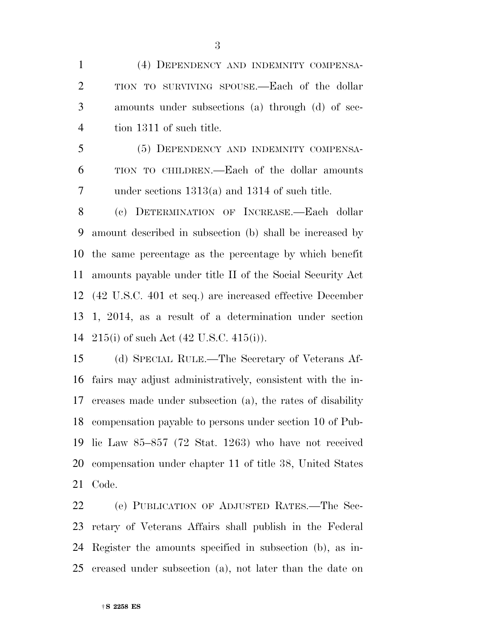(4) DEPENDENCY AND INDEMNITY COMPENSA- TION TO SURVIVING SPOUSE.—Each of the dollar amounts under subsections (a) through (d) of sec-tion 1311 of such title.

 (5) DEPENDENCY AND INDEMNITY COMPENSA- TION TO CHILDREN.—Each of the dollar amounts under sections 1313(a) and 1314 of such title.

 (c) DETERMINATION OF INCREASE.—Each dollar amount described in subsection (b) shall be increased by the same percentage as the percentage by which benefit amounts payable under title II of the Social Security Act (42 U.S.C. 401 et seq.) are increased effective December 1, 2014, as a result of a determination under section 215(i) of such Act (42 U.S.C. 415(i)).

 (d) SPECIAL RULE.—The Secretary of Veterans Af- fairs may adjust administratively, consistent with the in- creases made under subsection (a), the rates of disability compensation payable to persons under section 10 of Pub- lic Law 85–857 (72 Stat. 1263) who have not received compensation under chapter 11 of title 38, United States Code.

 (e) PUBLICATION OF ADJUSTED RATES.—The Sec- retary of Veterans Affairs shall publish in the Federal Register the amounts specified in subsection (b), as in-creased under subsection (a), not later than the date on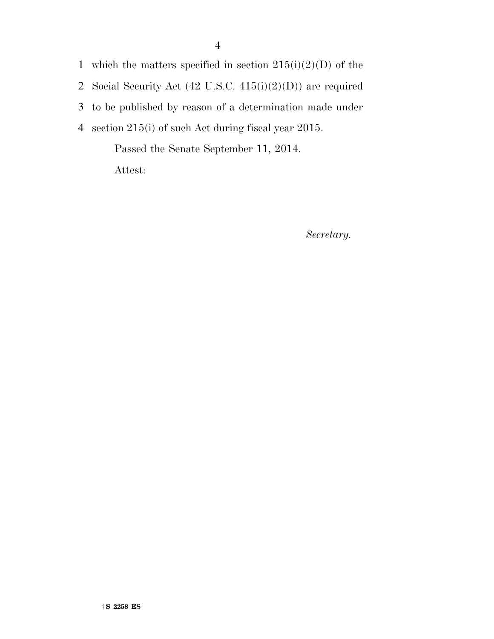1 which the matters specified in section  $215(i)(2)(D)$  of the 2 Social Security Act (42 U.S.C. 415(i)(2)(D)) are required

3 to be published by reason of a determination made under

4 section 215(i) of such Act during fiscal year 2015.

Passed the Senate September 11, 2014.

Attest:

*Secretary.*